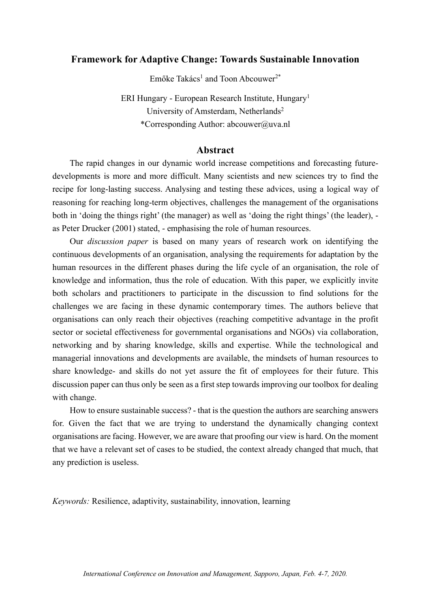## **Framework for Adaptive Change: Towards Sustainable Innovation**

 $Emőke Takács<sup>1</sup>$  and Toon Abcouwer<sup>2\*</sup>

ERI Hungary - European Research Institute, Hungary1 University of Amsterdam, Netherlands<sup>2</sup> \*Corresponding Author: abcouwer@uva.nl

#### **Abstract**

The rapid changes in our dynamic world increase competitions and forecasting futuredevelopments is more and more difficult. Many scientists and new sciences try to find the recipe for long-lasting success. Analysing and testing these advices, using a logical way of reasoning for reaching long-term objectives, challenges the management of the organisations both in 'doing the things right' (the manager) as well as 'doing the right things' (the leader), as Peter Drucker (2001) stated, - emphasising the role of human resources.

Our *discussion paper* is based on many years of research work on identifying the continuous developments of an organisation, analysing the requirements for adaptation by the human resources in the different phases during the life cycle of an organisation, the role of knowledge and information, thus the role of education. With this paper, we explicitly invite both scholars and practitioners to participate in the discussion to find solutions for the challenges we are facing in these dynamic contemporary times. The authors believe that organisations can only reach their objectives (reaching competitive advantage in the profit sector or societal effectiveness for governmental organisations and NGOs) via collaboration, networking and by sharing knowledge, skills and expertise. While the technological and managerial innovations and developments are available, the mindsets of human resources to share knowledge- and skills do not yet assure the fit of employees for their future. This discussion paper can thus only be seen as a first step towards improving our toolbox for dealing with change.

How to ensure sustainable success? - that is the question the authors are searching answers for. Given the fact that we are trying to understand the dynamically changing context organisations are facing. However, we are aware that proofing our view is hard. On the moment that we have a relevant set of cases to be studied, the context already changed that much, that any prediction is useless.

*Keywords:* Resilience, adaptivity, sustainability, innovation, learning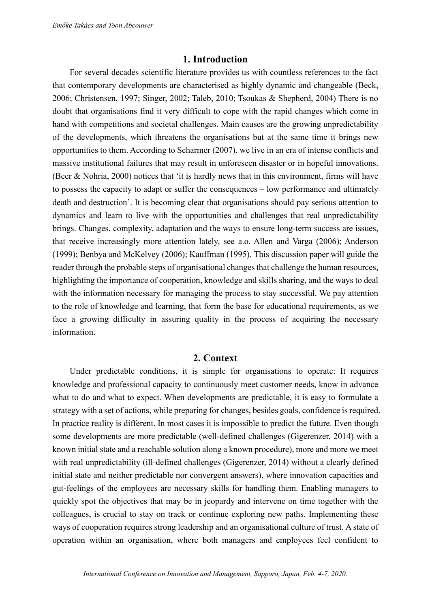## **1. Introduction**

For several decades scientific literature provides us with countless references to the fact that contemporary developments are characterised as highly dynamic and changeable (Beck, 2006; Christensen, 1997; Singer, 2002; Taleb, 2010; Tsoukas & Shepherd, 2004) There is no doubt that organisations find it very difficult to cope with the rapid changes which come in hand with competitions and societal challenges. Main causes are the growing unpredictability of the developments, which threatens the organisations but at the same time it brings new opportunities to them. According to Scharmer (2007), we live in an era of intense conflicts and massive institutional failures that may result in unforeseen disaster or in hopeful innovations. (Beer & Nohria, 2000) notices that 'it is hardly news that in this environment, firms will have to possess the capacity to adapt or suffer the consequences – low performance and ultimately death and destruction'. It is becoming clear that organisations should pay serious attention to dynamics and learn to live with the opportunities and challenges that real unpredictability brings. Changes, complexity, adaptation and the ways to ensure long-term success are issues, that receive increasingly more attention lately, see a.o. Allen and Varga (2006); Anderson (1999); Benbya and McKelvey (2006); Kauffman (1995). This discussion paper will guide the reader through the probable steps of organisational changes that challenge the human resources, highlighting the importance of cooperation, knowledge and skills sharing, and the ways to deal with the information necessary for managing the process to stay successful. We pay attention to the role of knowledge and learning, that form the base for educational requirements, as we face a growing difficulty in assuring quality in the process of acquiring the necessary information.

### **2. Context**

Under predictable conditions, it is simple for organisations to operate: It requires knowledge and professional capacity to continuously meet customer needs, know in advance what to do and what to expect. When developments are predictable, it is easy to formulate a strategy with a set of actions, while preparing for changes, besides goals, confidence is required. In practice reality is different. In most cases it is impossible to predict the future. Even though some developments are more predictable (well-defined challenges (Gigerenzer, 2014) with a known initial state and a reachable solution along a known procedure), more and more we meet with real unpredictability (ill-defined challenges (Gigerenzer, 2014) without a clearly defined initial state and neither predictable nor convergent answers), where innovation capacities and gut-feelings of the employees are necessary skills for handling them. Enabling managers to quickly spot the objectives that may be in jeopardy and intervene on time together with the colleagues, is crucial to stay on track or continue exploring new paths. Implementing these ways of cooperation requires strong leadership and an organisational culture of trust. A state of operation within an organisation, where both managers and employees feel confident to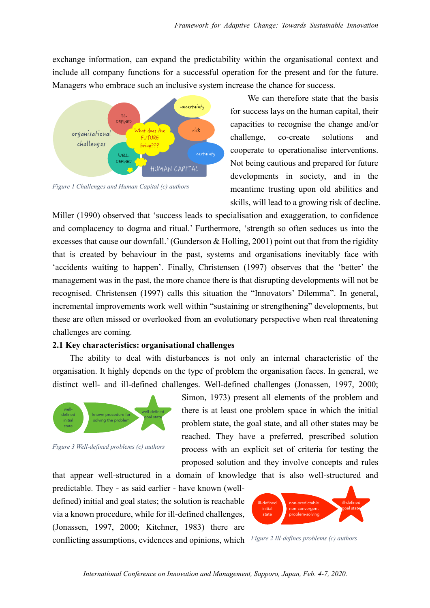exchange information, can expand the predictability within the organisational context and include all company functions for a successful operation for the present and for the future. Managers who embrace such an inclusive system increase the chance for success.



*Figure 1 Challenges and Human Capital (c) authors*

We can therefore state that the basis for success lays on the human capital, their capacities to recognise the change and/or challenge, co-create solutions and cooperate to operationalise interventions. Not being cautious and prepared for future developments in society, and in the meantime trusting upon old abilities and skills, will lead to a growing risk of decline.

Miller (1990) observed that 'success leads to specialisation and exaggeration, to confidence and complacency to dogma and ritual.' Furthermore, 'strength so often seduces us into the excesses that cause our downfall.' (Gunderson & Holling, 2001) point out that from the rigidity that is created by behaviour in the past, systems and organisations inevitably face with 'accidents waiting to happen'. Finally, Christensen (1997) observes that the 'better' the management was in the past, the more chance there is that disrupting developments will not be recognised. Christensen (1997) calls this situation the "Innovators' Dilemma". In general, incremental improvements work well within "sustaining or strengthening" developments, but these are often missed or overlooked from an evolutionary perspective when real threatening challenges are coming.

#### **2.1 Key characteristics: organisational challenges**

The ability to deal with disturbances is not only an internal characteristic of the organisation. It highly depends on the type of problem the organisation faces. In general, we distinct well- and ill-defined challenges. Well-defined challenges (Jonassen, 1997, 2000;



*Figure 3 Well-defined problems (c) authors*

Simon, 1973) present all elements of the problem and there is at least one problem space in which the initial problem state, the goal state, and all other states may be reached. They have a preferred, prescribed solution process with an explicit set of criteria for testing the proposed solution and they involve concepts and rules

that appear well-structured in a domain of knowledge that is also well-structured and

predictable. They - as said earlier - have known (welldefined) initial and goal states; the solution is reachable via a known procedure, while for ill-defined challenges, (Jonassen, 1997, 2000; Kitchner, 1983) there are conflicting assumptions, evidences and opinions, which *Figure 2 Ill-defines problems (c) authors*

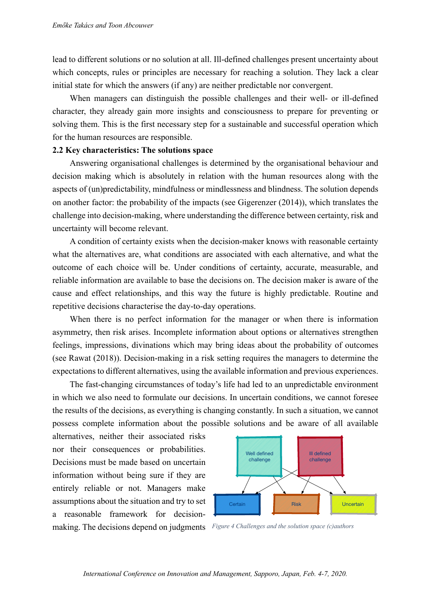lead to different solutions or no solution at all. Ill-defined challenges present uncertainty about which concepts, rules or principles are necessary for reaching a solution. They lack a clear initial state for which the answers (if any) are neither predictable nor convergent.

When managers can distinguish the possible challenges and their well- or ill-defined character, they already gain more insights and consciousness to prepare for preventing or solving them. This is the first necessary step for a sustainable and successful operation which for the human resources are responsible.

#### **2.2 Key characteristics: The solutions space**

Answering organisational challenges is determined by the organisational behaviour and decision making which is absolutely in relation with the human resources along with the aspects of (un)predictability, mindfulness or mindlessness and blindness. The solution depends on another factor: the probability of the impacts (see Gigerenzer (2014)), which translates the challenge into decision-making, where understanding the difference between certainty, risk and uncertainty will become relevant.

A condition of certainty exists when the decision-maker knows with reasonable certainty what the alternatives are, what conditions are associated with each alternative, and what the outcome of each choice will be. Under conditions of certainty, accurate, measurable, and reliable information are available to base the decisions on. The decision maker is aware of the cause and effect relationships, and this way the future is highly predictable. Routine and repetitive decisions characterise the day-to-day operations.

When there is no perfect information for the manager or when there is information asymmetry, then risk arises. Incomplete information about options or alternatives strengthen feelings, impressions, divinations which may bring ideas about the probability of outcomes (see Rawat (2018)). Decision-making in a risk setting requires the managers to determine the expectations to different alternatives, using the available information and previous experiences.

The fast-changing circumstances of today's life had led to an unpredictable environment in which we also need to formulate our decisions. In uncertain conditions, we cannot foresee the results of the decisions, as everything is changing constantly. In such a situation, we cannot possess complete information about the possible solutions and be aware of all available

alternatives, neither their associated risks nor their consequences or probabilities. Decisions must be made based on uncertain information without being sure if they are entirely reliable or not. Managers make assumptions about the situation and try to set a reasonable framework for decisionmaking. The decisions depend on judgments *Figure 4 Challenges and the solution space (c)authors*

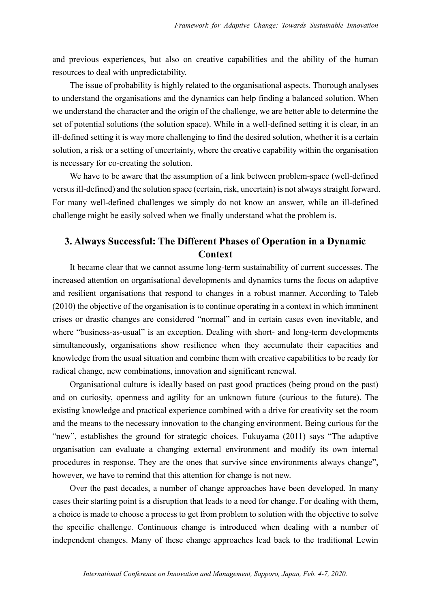and previous experiences, but also on creative capabilities and the ability of the human resources to deal with unpredictability.

The issue of probability is highly related to the organisational aspects. Thorough analyses to understand the organisations and the dynamics can help finding a balanced solution. When we understand the character and the origin of the challenge, we are better able to determine the set of potential solutions (the solution space). While in a well-defined setting it is clear, in an ill-defined setting it is way more challenging to find the desired solution, whether it is a certain solution, a risk or a setting of uncertainty, where the creative capability within the organisation is necessary for co-creating the solution.

We have to be aware that the assumption of a link between problem-space (well-defined versus ill-defined) and the solution space (certain, risk, uncertain) is not always straight forward. For many well-defined challenges we simply do not know an answer, while an ill-defined challenge might be easily solved when we finally understand what the problem is.

# **3. Always Successful: The Different Phases of Operation in a Dynamic Context**

It became clear that we cannot assume long-term sustainability of current successes. The increased attention on organisational developments and dynamics turns the focus on adaptive and resilient organisations that respond to changes in a robust manner. According to Taleb (2010) the objective of the organisation is to continue operating in a context in which imminent crises or drastic changes are considered "normal" and in certain cases even inevitable, and where "business-as-usual" is an exception. Dealing with short- and long-term developments simultaneously, organisations show resilience when they accumulate their capacities and knowledge from the usual situation and combine them with creative capabilities to be ready for radical change, new combinations, innovation and significant renewal.

Organisational culture is ideally based on past good practices (being proud on the past) and on curiosity, openness and agility for an unknown future (curious to the future). The existing knowledge and practical experience combined with a drive for creativity set the room and the means to the necessary innovation to the changing environment. Being curious for the "new", establishes the ground for strategic choices. Fukuyama (2011) says "The adaptive organisation can evaluate a changing external environment and modify its own internal procedures in response. They are the ones that survive since environments always change", however, we have to remind that this attention for change is not new.

Over the past decades, a number of change approaches have been developed. In many cases their starting point is a disruption that leads to a need for change. For dealing with them, a choice is made to choose a process to get from problem to solution with the objective to solve the specific challenge. Continuous change is introduced when dealing with a number of independent changes. Many of these change approaches lead back to the traditional Lewin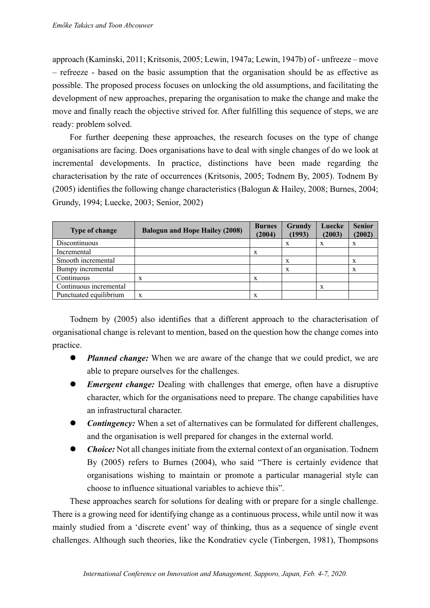approach (Kaminski, 2011; Kritsonis, 2005; Lewin, 1947a; Lewin, 1947b) of - unfreeze – move – refreeze - based on the basic assumption that the organisation should be as effective as possible. The proposed process focuses on unlocking the old assumptions, and facilitating the development of new approaches, preparing the organisation to make the change and make the move and finally reach the objective strived for. After fulfilling this sequence of steps, we are ready: problem solved.

For further deepening these approaches, the research focuses on the type of change organisations are facing. Does organisations have to deal with single changes of do we look at incremental developments. In practice, distinctions have been made regarding the characterisation by the rate of occurrences (Kritsonis, 2005; Todnem By, 2005). Todnem By (2005) identifies the following change characteristics (Balogun & Hailey, 2008; Burnes, 2004; Grundy, 1994; Luecke, 2003; Senior, 2002)

| <b>Type of change</b>  | <b>Balogun and Hope Hailey (2008)</b> | <b>Burnes</b><br>(2004) | Grundy<br>(1993) | Luecke<br>(2003) | <b>Senior</b><br>(2002) |
|------------------------|---------------------------------------|-------------------------|------------------|------------------|-------------------------|
| Discontinuous          |                                       |                         | X                | X                | X                       |
| Incremental            |                                       | X                       |                  |                  |                         |
| Smooth incremental     |                                       |                         | X                |                  | X                       |
| Bumpy incremental      |                                       |                         | X                |                  | X                       |
| Continuous             | X                                     | X                       |                  |                  |                         |
| Continuous incremental |                                       |                         |                  | X                |                         |
| Punctuated equilibrium | X                                     | X                       |                  |                  |                         |

Todnem by (2005) also identifies that a different approach to the characterisation of organisational change is relevant to mention, based on the question how the change comes into practice.

- *Planned change:* When we are aware of the change that we could predict, we are able to prepare ourselves for the challenges.
- *Emergent change:* Dealing with challenges that emerge, often have a disruptive character, which for the organisations need to prepare. The change capabilities have an infrastructural character.
- *Contingency:* When a set of alternatives can be formulated for different challenges, and the organisation is well prepared for changes in the external world.
- *Choice:* Not all changes initiate from the external context of an organisation. Todnem By (2005) refers to Burnes (2004), who said "There is certainly evidence that organisations wishing to maintain or promote a particular managerial style can choose to influence situational variables to achieve this".

These approaches search for solutions for dealing with or prepare for a single challenge. There is a growing need for identifying change as a continuous process, while until now it was mainly studied from a 'discrete event' way of thinking, thus as a sequence of single event challenges. Although such theories, like the Kondratiev cycle (Tinbergen, 1981), Thompsons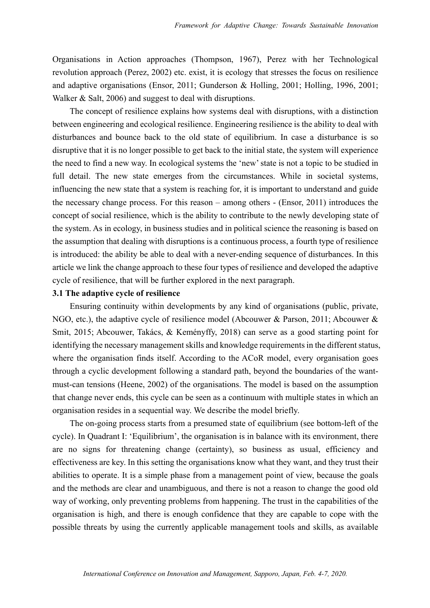Organisations in Action approaches (Thompson, 1967), Perez with her Technological revolution approach (Perez, 2002) etc. exist, it is ecology that stresses the focus on resilience and adaptive organisations (Ensor, 2011; Gunderson & Holling, 2001; Holling, 1996, 2001; Walker & Salt, 2006) and suggest to deal with disruptions.

The concept of resilience explains how systems deal with disruptions, with a distinction between engineering and ecological resilience. Engineering resilience is the ability to deal with disturbances and bounce back to the old state of equilibrium. In case a disturbance is so disruptive that it is no longer possible to get back to the initial state, the system will experience the need to find a new way. In ecological systems the 'new' state is not a topic to be studied in full detail. The new state emerges from the circumstances. While in societal systems, influencing the new state that a system is reaching for, it is important to understand and guide the necessary change process. For this reason – among others - (Ensor, 2011) introduces the concept of social resilience, which is the ability to contribute to the newly developing state of the system. As in ecology, in business studies and in political science the reasoning is based on the assumption that dealing with disruptions is a continuous process, a fourth type of resilience is introduced: the ability be able to deal with a never-ending sequence of disturbances. In this article we link the change approach to these four types of resilience and developed the adaptive cycle of resilience, that will be further explored in the next paragraph.

#### **3.1 The adaptive cycle of resilience**

Ensuring continuity within developments by any kind of organisations (public, private, NGO, etc.), the adaptive cycle of resilience model (Abcouwer & Parson, 2011; Abcouwer & Smit, 2015; Abcouwer, Takács, & Keményffy, 2018) can serve as a good starting point for identifying the necessary management skills and knowledge requirements in the different status, where the organisation finds itself. According to the ACoR model, every organisation goes through a cyclic development following a standard path, beyond the boundaries of the wantmust-can tensions (Heene, 2002) of the organisations. The model is based on the assumption that change never ends, this cycle can be seen as a continuum with multiple states in which an organisation resides in a sequential way. We describe the model briefly.

The on-going process starts from a presumed state of equilibrium (see bottom-left of the cycle). In Quadrant I: 'Equilibrium', the organisation is in balance with its environment, there are no signs for threatening change (certainty), so business as usual, efficiency and effectiveness are key. In this setting the organisations know what they want, and they trust their abilities to operate. It is a simple phase from a management point of view, because the goals and the methods are clear and unambiguous, and there is not a reason to change the good old way of working, only preventing problems from happening. The trust in the capabilities of the organisation is high, and there is enough confidence that they are capable to cope with the possible threats by using the currently applicable management tools and skills, as available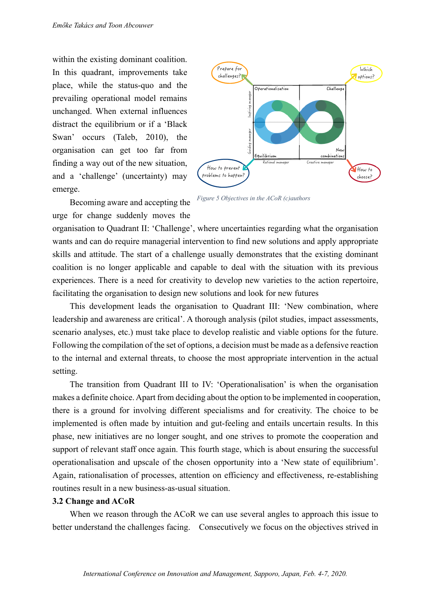within the existing dominant coalition. In this quadrant, improvements take place, while the status-quo and the prevailing operational model remains unchanged. When external influences distract the equilibrium or if a 'Black Swan' occurs (Taleb, 2010), the organisation can get too far from finding a way out of the new situation, and a 'challenge' (uncertainty) may emerge.



Becoming aware and accepting the urge for change suddenly moves the

*Figure 5 Objectives in the ACoR (c)authors*

organisation to Quadrant II: 'Challenge', where uncertainties regarding what the organisation wants and can do require managerial intervention to find new solutions and apply appropriate skills and attitude. The start of a challenge usually demonstrates that the existing dominant coalition is no longer applicable and capable to deal with the situation with its previous experiences. There is a need for creativity to develop new varieties to the action repertoire, facilitating the organisation to design new solutions and look for new futures

This development leads the organisation to Quadrant III: 'New combination, where leadership and awareness are critical'. A thorough analysis (pilot studies, impact assessments, scenario analyses, etc.) must take place to develop realistic and viable options for the future. Following the compilation of the set of options, a decision must be made as a defensive reaction to the internal and external threats, to choose the most appropriate intervention in the actual setting.

The transition from Quadrant III to IV: 'Operationalisation' is when the organisation makes a definite choice. Apart from deciding about the option to be implemented in cooperation, there is a ground for involving different specialisms and for creativity. The choice to be implemented is often made by intuition and gut-feeling and entails uncertain results. In this phase, new initiatives are no longer sought, and one strives to promote the cooperation and support of relevant staff once again. This fourth stage, which is about ensuring the successful operationalisation and upscale of the chosen opportunity into a 'New state of equilibrium'. Again, rationalisation of processes, attention on efficiency and effectiveness, re-establishing routines result in a new business-as-usual situation.

## **3.2 Change and ACoR**

When we reason through the ACoR we can use several angles to approach this issue to better understand the challenges facing. Consecutively we focus on the objectives strived in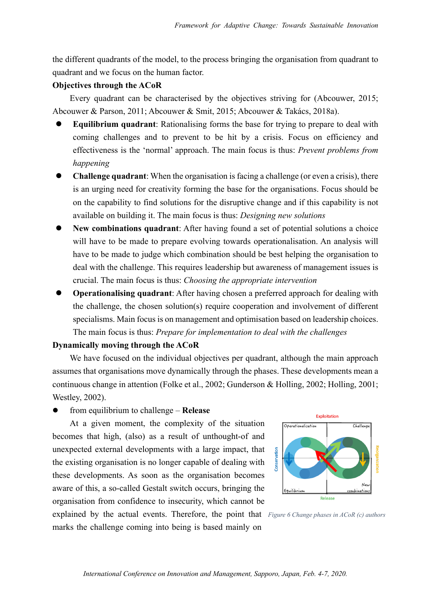the different quadrants of the model, to the process bringing the organisation from quadrant to quadrant and we focus on the human factor.

#### **Objectives through the ACoR**

Every quadrant can be characterised by the objectives striving for (Abcouwer, 2015; Abcouwer & Parson, 2011; Abcouwer & Smit, 2015; Abcouwer & Takács, 2018a).

- l **Equilibrium quadrant**: Rationalising forms the base for trying to prepare to deal with coming challenges and to prevent to be hit by a crisis. Focus on efficiency and effectiveness is the 'normal' approach. The main focus is thus: *Prevent problems from happening*
- l **Challenge quadrant**: When the organisation is facing a challenge (or even a crisis), there is an urging need for creativity forming the base for the organisations. Focus should be on the capability to find solutions for the disruptive change and if this capability is not available on building it. The main focus is thus: *Designing new solutions*
- New combinations quadrant: After having found a set of potential solutions a choice will have to be made to prepare evolving towards operationalisation. An analysis will have to be made to judge which combination should be best helping the organisation to deal with the challenge. This requires leadership but awareness of management issues is crucial. The main focus is thus: *Choosing the appropriate intervention*
- **Operationalising quadrant:** After having chosen a preferred approach for dealing with the challenge, the chosen solution(s) require cooperation and involvement of different specialisms. Main focus is on management and optimisation based on leadership choices. The main focus is thus: *Prepare for implementation to deal with the challenges*

## **Dynamically moving through the ACoR**

We have focused on the individual objectives per quadrant, although the main approach assumes that organisations move dynamically through the phases. These developments mean a continuous change in attention (Folke et al., 2002; Gunderson & Holling, 2002; Holling, 2001; Westley, 2002).

l from equilibrium to challenge – **Release**

At a given moment, the complexity of the situation becomes that high, (also) as a result of unthought-of and unexpected external developments with a large impact, that the existing organisation is no longer capable of dealing with these developments. As soon as the organisation becomes aware of this, a so-called Gestalt switch occurs, bringing the organisation from confidence to insecurity, which cannot be explained by the actual events. Therefore, the point that *Figure 6 Change phases in ACoR (c) authors*

marks the challenge coming into being is based mainly on



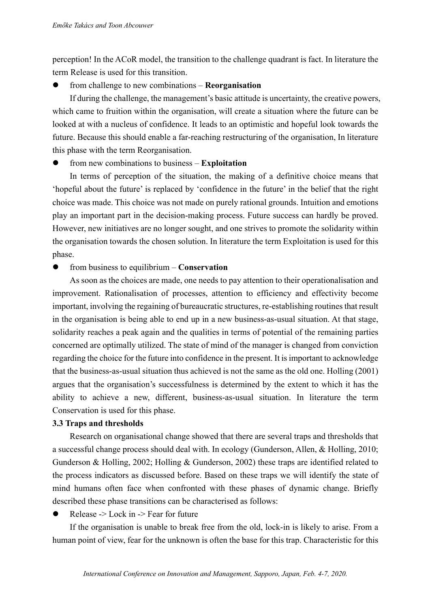perception! In the ACoR model, the transition to the challenge quadrant is fact. In literature the term Release is used for this transition.

# l from challenge to new combinations – **Reorganisation**

If during the challenge, the management's basic attitude is uncertainty, the creative powers, which came to fruition within the organisation, will create a situation where the future can be looked at with a nucleus of confidence. It leads to an optimistic and hopeful look towards the future. Because this should enable a far-reaching restructuring of the organisation, In literature this phase with the term Reorganisation.

l from new combinations to business – **Exploitation**

In terms of perception of the situation, the making of a definitive choice means that 'hopeful about the future' is replaced by 'confidence in the future' in the belief that the right choice was made. This choice was not made on purely rational grounds. Intuition and emotions play an important part in the decision-making process. Future success can hardly be proved. However, new initiatives are no longer sought, and one strives to promote the solidarity within the organisation towards the chosen solution. In literature the term Exploitation is used for this phase.

l from business to equilibrium – **Conservation**

As soon as the choices are made, one needs to pay attention to their operationalisation and improvement. Rationalisation of processes, attention to efficiency and effectivity become important, involving the regaining of bureaucratic structures, re-establishing routines that result in the organisation is being able to end up in a new business-as-usual situation. At that stage, solidarity reaches a peak again and the qualities in terms of potential of the remaining parties concerned are optimally utilized. The state of mind of the manager is changed from conviction regarding the choice for the future into confidence in the present. It is important to acknowledge that the business-as-usual situation thus achieved is not the same as the old one. Holling (2001) argues that the organisation's successfulness is determined by the extent to which it has the ability to achieve a new, different, business-as-usual situation. In literature the term Conservation is used for this phase.

# **3.3 Traps and thresholds**

Research on organisational change showed that there are several traps and thresholds that a successful change process should deal with. In ecology (Gunderson, Allen, & Holling, 2010; Gunderson & Holling, 2002; Holling & Gunderson, 2002) these traps are identified related to the process indicators as discussed before. Based on these traps we will identify the state of mind humans often face when confronted with these phases of dynamic change. Briefly described these phase transitions can be characterised as follows:

Release  $\geq$  Lock in  $\geq$  Fear for future

If the organisation is unable to break free from the old, lock-in is likely to arise. From a human point of view, fear for the unknown is often the base for this trap. Characteristic for this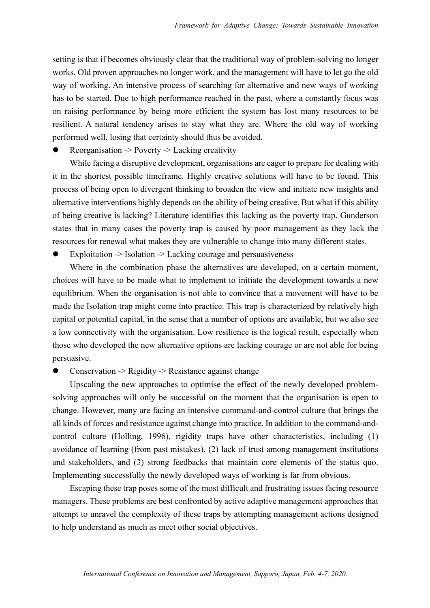setting is that if becomes obviously clear that the traditional way of problem-solving no longer works. Old proven approaches no longer work, and the management will have to let go the old way of working. An intensive process of searching for alternative and new ways of working has to be started. Due to high performance reached in the past, where a constantly focus was on raising performance by being more efficient the system has lost many resources to be resilient. A natural tendency arises to stay what they are. Where the old way of working performed well, losing that certainty should thus be avoided.

l Reorganisation -> Poverty -> Lacking creativity

While facing a disruptive development, organisations are eager to prepare for dealing with it in the shortest possible timeframe. Highly creative solutions will have to be found. This process of being open to divergent thinking to broaden the view and initiate new insights and alternative interventions highly depends on the ability of being creative. But what if this ability of being creative is lacking? Literature identifies this lacking as the poverty trap. Gunderson states that in many cases the poverty trap is caused by poor management as they lack the resources for renewal what makes they are vulnerable to change into many different states.

Exploitation -> Isolation -> Lacking courage and persuasiveness

Where in the combination phase the alternatives are developed, on a certain moment, choices will have to be made what to implement to initiate the development towards a new equilibrium. When the organisation is not able to convince that a movement will have to be made the Isolation trap might come into practice. This trap is characterized by relatively high capital or potential capital, in the sense that a number of options are available, but we also see a low connectivity with the organisation. Low resilience is the logical result, especially when those who developed the new alternative options are lacking courage or are not able for being persuasive.

Conservation  $\geq$  Rigidity  $\geq$  Resistance against change

Upscaling the new approaches to optimise the effect of the newly developed problemsolving approaches will only be successful on the moment that the organisation is open to change. However, many are facing an intensive command-and-control culture that brings the all kinds of forces and resistance against change into practice. In addition to the command-andcontrol culture (Holling, 1996), rigidity traps have other characteristics, including (1) avoidance of learning (from past mistakes), (2) lack of trust among management institutions and stakeholders, and (3) strong feedbacks that maintain core elements of the status quo. Implementing successfully the newly developed ways of working is far from obvious.

Escaping these trap poses some of the most difficult and frustrating issues facing resource managers. These problems are best confronted by active adaptive management approaches that attempt to unravel the complexity of these traps by attempting management actions designed to help understand as much as meet other social objectives.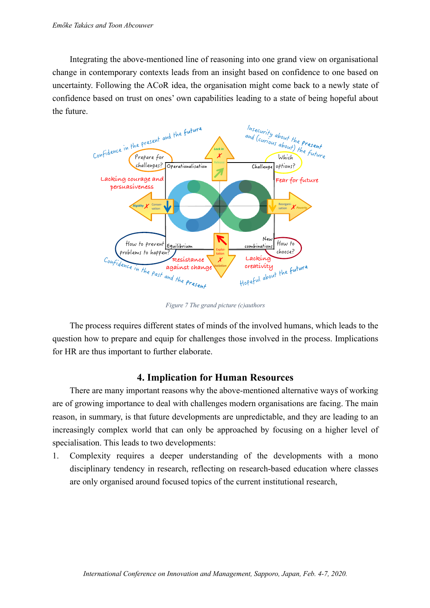Integrating the above-mentioned line of reasoning into one grand view on organisational change in contemporary contexts leads from an insight based on confidence to one based on uncertainty. Following the ACoR idea, the organisation might come back to a newly state of confidence based on trust on ones' own capabilities leading to a state of being hopeful about the future.



*Figure 7 The grand picture (c)authors*

The process requires different states of minds of the involved humans, which leads to the question how to prepare and equip for challenges those involved in the process. Implications for HR are thus important to further elaborate.

# **4. Implication for Human Resources**

There are many important reasons why the above-mentioned alternative ways of working are of growing importance to deal with challenges modern organisations are facing. The main reason, in summary, is that future developments are unpredictable, and they are leading to an increasingly complex world that can only be approached by focusing on a higher level of specialisation. This leads to two developments:

1. Complexity requires a deeper understanding of the developments with a mono disciplinary tendency in research, reflecting on research-based education where classes are only organised around focused topics of the current institutional research,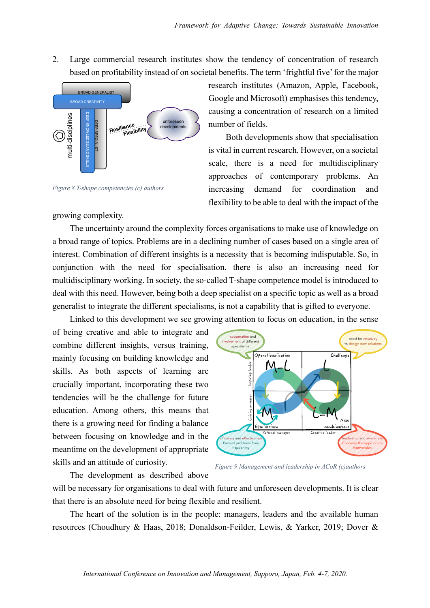2. Large commercial research institutes show the tendency of concentration of research based on profitability instead of on societal benefits. The term 'frightful five' for the major



*Figure 8 T-shape competencies (c) authors*

growing complexity.

research institutes (Amazon, Apple, Facebook, Google and Microsoft) emphasises this tendency, causing a concentration of research on a limited number of fields.

Both developments show that specialisation is vital in current research. However, on a societal scale, there is a need for multidisciplinary approaches of contemporary problems. An increasing demand for coordination and flexibility to be able to deal with the impact of the

The uncertainty around the complexity forces organisations to make use of knowledge on a broad range of topics. Problems are in a declining number of cases based on a single area of interest. Combination of different insights is a necessity that is becoming indisputable. So, in conjunction with the need for specialisation, there is also an increasing need for multidisciplinary working. In society, the so-called T-shape competence model is introduced to deal with this need. However, being both a deep specialist on a specific topic as well as a broad generalist to integrate the different specialisms, is not a capability that is gifted to everyone.

Linked to this development we see growing attention to focus on education, in the sense

of being creative and able to integrate and combine different insights, versus training, mainly focusing on building knowledge and skills. As both aspects of learning are crucially important, incorporating these two tendencies will be the challenge for future education. Among others, this means that there is a growing need for finding a balance between focusing on knowledge and in the meantime on the development of appropriate skills and an attitude of curiosity.

The development as described above



*Figure 9 Management and leadership in ACoR (c)authors*

will be necessary for organisations to deal with future and unforeseen developments. It is clear that there is an absolute need for being flexible and resilient.

The heart of the solution is in the people: managers, leaders and the available human resources (Choudhury & Haas, 2018; Donaldson-Feilder, Lewis, & Yarker, 2019; Dover &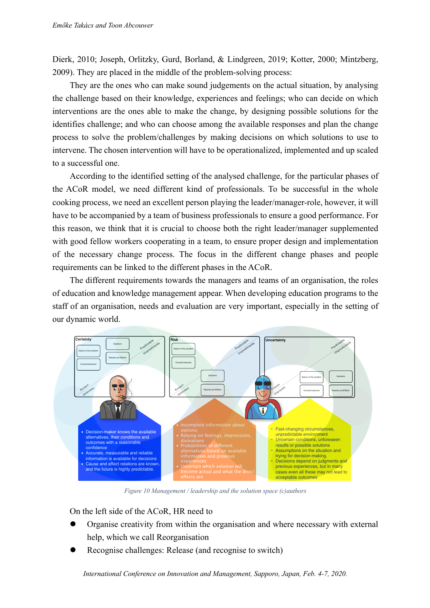Dierk, 2010; Joseph, Orlitzky, Gurd, Borland, & Lindgreen, 2019; Kotter, 2000; Mintzberg, 2009). They are placed in the middle of the problem-solving process:

They are the ones who can make sound judgements on the actual situation, by analysing the challenge based on their knowledge, experiences and feelings; who can decide on which interventions are the ones able to make the change, by designing possible solutions for the identifies challenge; and who can choose among the available responses and plan the change process to solve the problem/challenges by making decisions on which solutions to use to intervene. The chosen intervention will have to be operationalized, implemented and up scaled to a successful one.

According to the identified setting of the analysed challenge, for the particular phases of the ACoR model, we need different kind of professionals. To be successful in the whole cooking process, we need an excellent person playing the leader/manager-role, however, it will have to be accompanied by a team of business professionals to ensure a good performance. For this reason, we think that it is crucial to choose both the right leader/manager supplemented with good fellow workers cooperating in a team, to ensure proper design and implementation of the necessary change process. The focus in the different change phases and people requirements can be linked to the different phases in the ACoR.

The different requirements towards the managers and teams of an organisation, the roles of education and knowledge management appear. When developing education programs to the staff of an organisation, needs and evaluation are very important, especially in the setting of our dynamic world.



*Figure 10 Management / leadership and the solution space (c)authors*

On the left side of the ACoR, HR need to

- Organise creativity from within the organisation and where necessary with external help, which we call Reorganisation
- Recognise challenges: Release (and recognise to switch)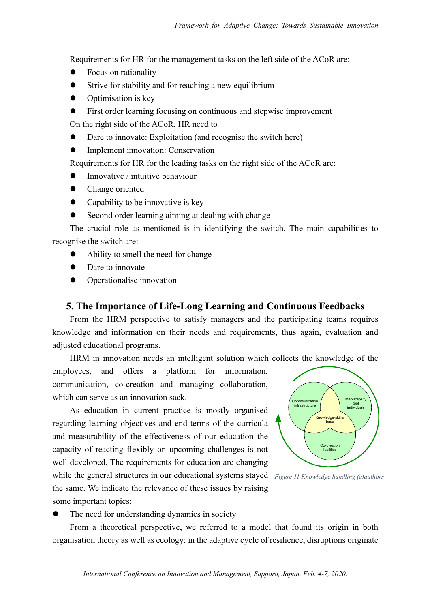Requirements for HR for the management tasks on the left side of the ACoR are:

- Focus on rationality
- Strive for stability and for reaching a new equilibrium
- **Optimisation is key**
- First order learning focusing on continuous and stepwise improvement

On the right side of the ACoR, HR need to

- Dare to innovate: Exploitation (and recognise the switch here)
- l Implement innovation: Conservation

Requirements for HR for the leading tasks on the right side of the ACoR are:

- Innovative / intuitive behaviour
- Change oriented
- Capability to be innovative is key
- **•** Second order learning aiming at dealing with change

The crucial role as mentioned is in identifying the switch. The main capabilities to recognise the switch are:

- l Ability to smell the need for change
- Dare to innovate
- Operationalise innovation

# **5. The Importance of Life-Long Learning and Continuous Feedbacks**

From the HRM perspective to satisfy managers and the participating teams requires knowledge and information on their needs and requirements, thus again, evaluation and adjusted educational programs.

HRM in innovation needs an intelligent solution which collects the knowledge of the

employees, and offers a platform for information, communication, co-creation and managing collaboration, which can serve as an innovation sack.

As education in current practice is mostly organised regarding learning objectives and end-terms of the curricula and measurability of the effectiveness of our education the capacity of reacting flexibly on upcoming challenges is not well developed. The requirements for education are changing while the general structures in our educational systems stayed *Figure 11 Knowledge handling (c)authors*the same. We indicate the relevance of these issues by raising some important topics:





The need for understanding dynamics in society

From a theoretical perspective, we referred to a model that found its origin in both organisation theory as well as ecology: in the adaptive cycle of resilience, disruptions originate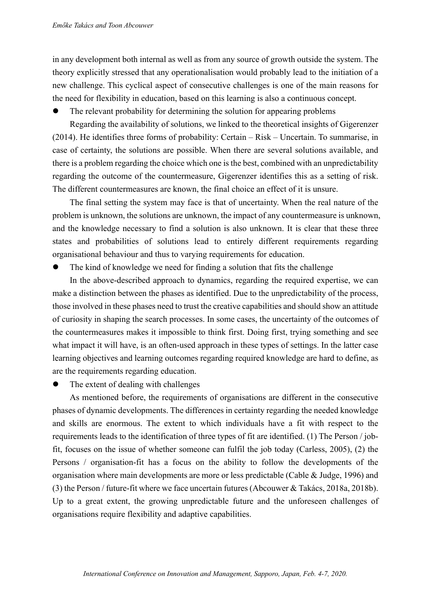in any development both internal as well as from any source of growth outside the system. The theory explicitly stressed that any operationalisation would probably lead to the initiation of a new challenge. This cyclical aspect of consecutive challenges is one of the main reasons for the need for flexibility in education, based on this learning is also a continuous concept.

The relevant probability for determining the solution for appearing problems

Regarding the availability of solutions, we linked to the theoretical insights of Gigerenzer (2014). He identifies three forms of probability: Certain – Risk – Uncertain. To summarise, in case of certainty, the solutions are possible. When there are several solutions available, and there is a problem regarding the choice which one is the best, combined with an unpredictability regarding the outcome of the countermeasure, Gigerenzer identifies this as a setting of risk. The different countermeasures are known, the final choice an effect of it is unsure.

The final setting the system may face is that of uncertainty. When the real nature of the problem is unknown, the solutions are unknown, the impact of any countermeasure is unknown, and the knowledge necessary to find a solution is also unknown. It is clear that these three states and probabilities of solutions lead to entirely different requirements regarding organisational behaviour and thus to varying requirements for education.

The kind of knowledge we need for finding a solution that fits the challenge

In the above-described approach to dynamics, regarding the required expertise, we can make a distinction between the phases as identified. Due to the unpredictability of the process, those involved in these phases need to trust the creative capabilities and should show an attitude of curiosity in shaping the search processes. In some cases, the uncertainty of the outcomes of the countermeasures makes it impossible to think first. Doing first, trying something and see what impact it will have, is an often-used approach in these types of settings. In the latter case learning objectives and learning outcomes regarding required knowledge are hard to define, as are the requirements regarding education.

The extent of dealing with challenges

As mentioned before, the requirements of organisations are different in the consecutive phases of dynamic developments. The differences in certainty regarding the needed knowledge and skills are enormous. The extent to which individuals have a fit with respect to the requirements leads to the identification of three types of fit are identified. (1) The Person / jobfit, focuses on the issue of whether someone can fulfil the job today (Carless, 2005), (2) the Persons / organisation-fit has a focus on the ability to follow the developments of the organisation where main developments are more or less predictable (Cable & Judge, 1996) and (3) the Person / future-fit where we face uncertain futures (Abcouwer & Takács, 2018a, 2018b). Up to a great extent, the growing unpredictable future and the unforeseen challenges of organisations require flexibility and adaptive capabilities.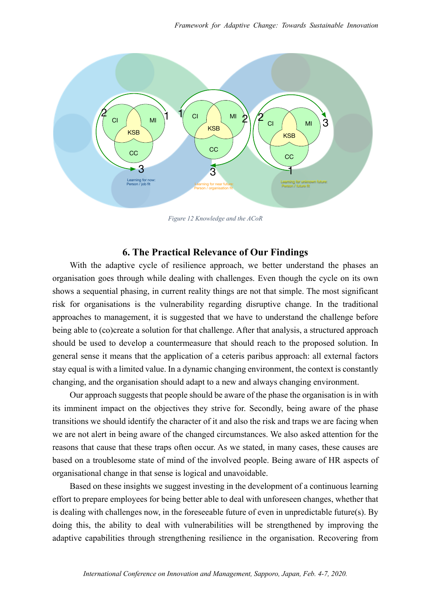

*Figure 12 Knowledge and the ACoR*

# **6. The Practical Relevance of Our Findings**

With the adaptive cycle of resilience approach, we better understand the phases an organisation goes through while dealing with challenges. Even though the cycle on its own shows a sequential phasing, in current reality things are not that simple. The most significant risk for organisations is the vulnerability regarding disruptive change. In the traditional approaches to management, it is suggested that we have to understand the challenge before being able to (co)create a solution for that challenge. After that analysis, a structured approach should be used to develop a countermeasure that should reach to the proposed solution. In general sense it means that the application of a ceteris paribus approach: all external factors stay equal is with a limited value. In a dynamic changing environment, the context is constantly changing, and the organisation should adapt to a new and always changing environment.

Our approach suggests that people should be aware of the phase the organisation is in with its imminent impact on the objectives they strive for. Secondly, being aware of the phase transitions we should identify the character of it and also the risk and traps we are facing when we are not alert in being aware of the changed circumstances. We also asked attention for the reasons that cause that these traps often occur. As we stated, in many cases, these causes are based on a troublesome state of mind of the involved people. Being aware of HR aspects of organisational change in that sense is logical and unavoidable.

Based on these insights we suggest investing in the development of a continuous learning effort to prepare employees for being better able to deal with unforeseen changes, whether that is dealing with challenges now, in the foreseeable future of even in unpredictable future(s). By doing this, the ability to deal with vulnerabilities will be strengthened by improving the adaptive capabilities through strengthening resilience in the organisation. Recovering from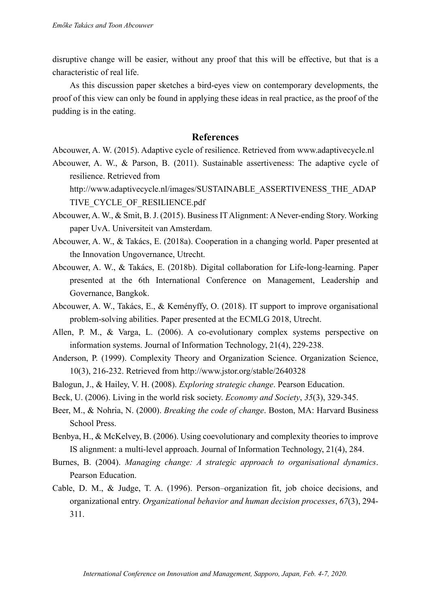disruptive change will be easier, without any proof that this will be effective, but that is a characteristic of real life.

As this discussion paper sketches a bird-eyes view on contemporary developments, the proof of this view can only be found in applying these ideas in real practice, as the proof of the pudding is in the eating.

#### **References**

Abcouwer, A. W. (2015). Adaptive cycle of resilience. Retrieved from www.adaptivecycle.nl

Abcouwer, A. W., & Parson, B. (2011). Sustainable assertiveness: The adaptive cycle of resilience. Retrieved from

http://www.adaptivecycle.nl/images/SUSTAINABLE\_ASSERTIVENESS\_THE\_ADAP TIVE CYCLE OF RESILIENCE.pdf

- Abcouwer, A. W., & Smit, B. J. (2015). Business IT Alignment: A Never-ending Story. Working paper UvA. Universiteit van Amsterdam.
- Abcouwer, A. W., & Takács, E. (2018a). Cooperation in a changing world. Paper presented at the Innovation Ungovernance, Utrecht.
- Abcouwer, A. W., & Takács, E. (2018b). Digital collaboration for Life-long-learning. Paper presented at the 6th International Conference on Management, Leadership and Governance, Bangkok.
- Abcouwer, A. W., Takács, E., & Keményffy, O. (2018). IT support to improve organisational problem-solving abilities. Paper presented at the ECMLG 2018, Utrecht.
- Allen, P. M., & Varga, L. (2006). A co-evolutionary complex systems perspective on information systems. Journal of Information Technology, 21(4), 229-238.
- Anderson, P. (1999). Complexity Theory and Organization Science. Organization Science, 10(3), 216-232. Retrieved from http://www.jstor.org/stable/2640328
- Balogun, J., & Hailey, V. H. (2008). *Exploring strategic change*. Pearson Education.
- Beck, U. (2006). Living in the world risk society. *Economy and Society*, *35*(3), 329-345.
- Beer, M., & Nohria, N. (2000). *Breaking the code of change*. Boston, MA: Harvard Business School Press.
- Benbya, H., & McKelvey, B. (2006). Using coevolutionary and complexity theories to improve IS alignment: a multi-level approach. Journal of Information Technology, 21(4), 284.
- Burnes, B. (2004). *Managing change: A strategic approach to organisational dynamics*. Pearson Education.
- Cable, D. M., & Judge, T. A. (1996). Person–organization fit, job choice decisions, and organizational entry. *Organizational behavior and human decision processes*, *67*(3), 294- 311.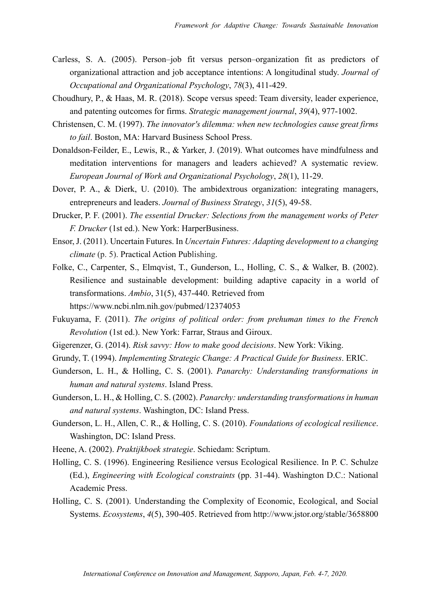- Carless, S. A. (2005). Person–job fit versus person–organization fit as predictors of organizational attraction and job acceptance intentions: A longitudinal study. *Journal of Occupational and Organizational Psychology*, *78*(3), 411-429.
- Choudhury, P., & Haas, M. R. (2018). Scope versus speed: Team diversity, leader experience, and patenting outcomes for firms. *Strategic management journal*, *39*(4), 977-1002.
- Christensen, C. M. (1997). *The innovator's dilemma: when new technologies cause great firms to fail*. Boston, MA: Harvard Business School Press.
- Donaldson-Feilder, E., Lewis, R., & Yarker, J. (2019). What outcomes have mindfulness and meditation interventions for managers and leaders achieved? A systematic review. *European Journal of Work and Organizational Psychology*, *28*(1), 11-29.
- Dover, P. A., & Dierk, U. (2010). The ambidextrous organization: integrating managers, entrepreneurs and leaders. *Journal of Business Strategy*, *31*(5), 49-58.
- Drucker, P. F. (2001). *The essential Drucker: Selections from the management works of Peter F. Drucker* (1st ed.). New York: HarperBusiness.
- Ensor, J. (2011). Uncertain Futures. In *Uncertain Futures: Adapting development to a changing climate* (p. 5). Practical Action Publishing.
- Folke, C., Carpenter, S., Elmqvist, T., Gunderson, L., Holling, C. S., & Walker, B. (2002). Resilience and sustainable development: building adaptive capacity in a world of transformations. *Ambio*, 31(5), 437-440. Retrieved from https://www.ncbi.nlm.nih.gov/pubmed/12374053
- Fukuyama, F. (2011). *The origins of political order: from prehuman times to the French Revolution* (1st ed.). New York: Farrar, Straus and Giroux.
- Gigerenzer, G. (2014). *Risk savvy: How to make good decisions*. New York: Viking.
- Grundy, T. (1994). *Implementing Strategic Change: A Practical Guide for Business*. ERIC.
- Gunderson, L. H., & Holling, C. S. (2001). *Panarchy: Understanding transformations in human and natural systems*. Island Press.
- Gunderson, L. H., & Holling, C. S. (2002). *Panarchy: understanding transformations in human and natural systems*. Washington, DC: Island Press.
- Gunderson, L. H., Allen, C. R., & Holling, C. S. (2010). *Foundations of ecological resilience*. Washington, DC: Island Press.
- Heene, A. (2002). *Praktijkboek strategie*. Schiedam: Scriptum.
- Holling, C. S. (1996). Engineering Resilience versus Ecological Resilience. In P. C. Schulze (Ed.), *Engineering with Ecological constraints* (pp. 31-44). Washington D.C.: National Academic Press.
- Holling, C. S. (2001). Understanding the Complexity of Economic, Ecological, and Social Systems. *Ecosystems*, *4*(5), 390-405. Retrieved from http://www.jstor.org/stable/3658800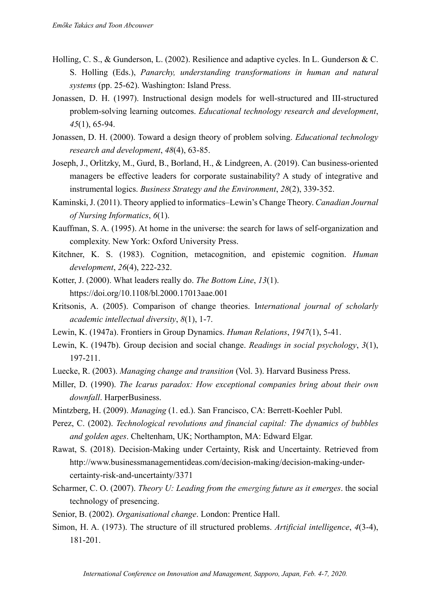- Holling, C. S., & Gunderson, L. (2002). Resilience and adaptive cycles. In L. Gunderson & C. S. Holling (Eds.), *Panarchy, understanding transformations in human and natural systems* (pp. 25-62). Washington: Island Press.
- Jonassen, D. H. (1997). Instructional design models for well-structured and III-structured problem-solving learning outcomes. *Educational technology research and development*, *45*(1), 65-94.
- Jonassen, D. H. (2000). Toward a design theory of problem solving. *Educational technology research and development*, *48*(4), 63-85.
- Joseph, J., Orlitzky, M., Gurd, B., Borland, H., & Lindgreen, A. (2019). Can business-oriented managers be effective leaders for corporate sustainability? A study of integrative and instrumental logics. *Business Strategy and the Environment*, *28*(2), 339-352.
- Kaminski, J. (2011). Theory applied to informatics–Lewin's Change Theory. *Canadian Journal of Nursing Informatics*, *6*(1).
- Kauffman, S. A. (1995). At home in the universe: the search for laws of self-organization and complexity. New York: Oxford University Press.
- Kitchner, K. S. (1983). Cognition, metacognition, and epistemic cognition. *Human development*, *26*(4), 222-232.
- Kotter, J. (2000). What leaders really do. *The Bottom Line*, *13*(1). https://doi.org/10.1108/bl.2000.17013aae.001
- Kritsonis, A. (2005). Comparison of change theories. I*nternational journal of scholarly academic intellectual diversity*, *8*(1), 1-7.
- Lewin, K. (1947a). Frontiers in Group Dynamics. *Human Relations*, *1947*(1), 5-41.
- Lewin, K. (1947b). Group decision and social change. *Readings in social psychology*, *3*(1), 197-211.
- Luecke, R. (2003). *Managing change and transition* (Vol. 3). Harvard Business Press.
- Miller, D. (1990). *The Icarus paradox: How exceptional companies bring about their own downfall*. HarperBusiness.
- Mintzberg, H. (2009). *Managing* (1. ed.). San Francisco, CA: Berrett-Koehler Publ.
- Perez, C. (2002). *Technological revolutions and financial capital: The dynamics of bubbles and golden ages*. Cheltenham, UK; Northampton, MA: Edward Elgar.
- Rawat, S. (2018). Decision-Making under Certainty, Risk and Uncertainty. Retrieved from http://www.businessmanagementideas.com/decision-making/decision-making-undercertainty-risk-and-uncertainty/3371
- Scharmer, C. O. (2007). *Theory U: Leading from the emerging future as it emerges*. the social technology of presencing.
- Senior, B. (2002). *Organisational change*. London: Prentice Hall.
- Simon, H. A. (1973). The structure of ill structured problems. *Artificial intelligence*, *4*(3-4), 181-201.